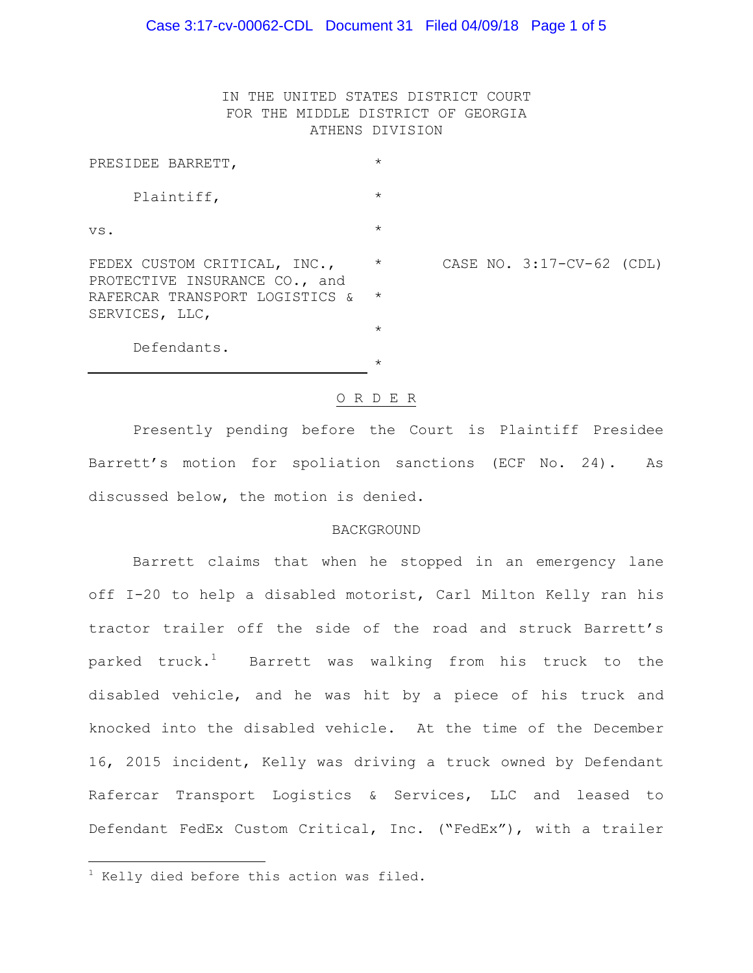IN THE UNITED STATES DISTRICT COURT FOR THE MIDDLE DISTRICT OF GEORGIA ATHENS DIVISION

| PRESIDEE BARRETT,                                             | $\star$  |  |                           |  |
|---------------------------------------------------------------|----------|--|---------------------------|--|
| Plaintiff,                                                    | $\star$  |  |                           |  |
| VS.                                                           | $\star$  |  |                           |  |
| FEDEX CUSTOM CRITICAL, INC.,<br>PROTECTIVE INSURANCE CO., and | $\star$  |  | CASE NO. 3:17-CV-62 (CDL) |  |
| RAFERCAR TRANSPORT LOGISTICS &<br>SERVICES, LLC,              | $\star$  |  |                           |  |
|                                                               | $\star$  |  |                           |  |
| Defendants.                                                   |          |  |                           |  |
|                                                               | $^\star$ |  |                           |  |

#### O R D E R

Presently pending before the Court is Plaintiff Presidee Barrett's motion for spoliation sanctions (ECF No. 24). As discussed below, the motion is denied.

#### BACKGROUND

Barrett claims that when he stopped in an emergency lane off I-20 to help a disabled motorist, Carl Milton Kelly ran his tractor trailer off the side of the road and struck Barrett's parked  $truek<sup>1</sup>$  Barrett was walking from his truck to the disabled vehicle, and he was hit by a piece of his truck and knocked into the disabled vehicle. At the time of the December 16, 2015 incident, Kelly was driving a truck owned by Defendant Rafercar Transport Logistics & Services, LLC and leased to Defendant FedEx Custom Critical, Inc. ("FedEx"), with a trailer

a<br>B

 $1$  Kelly died before this action was filed.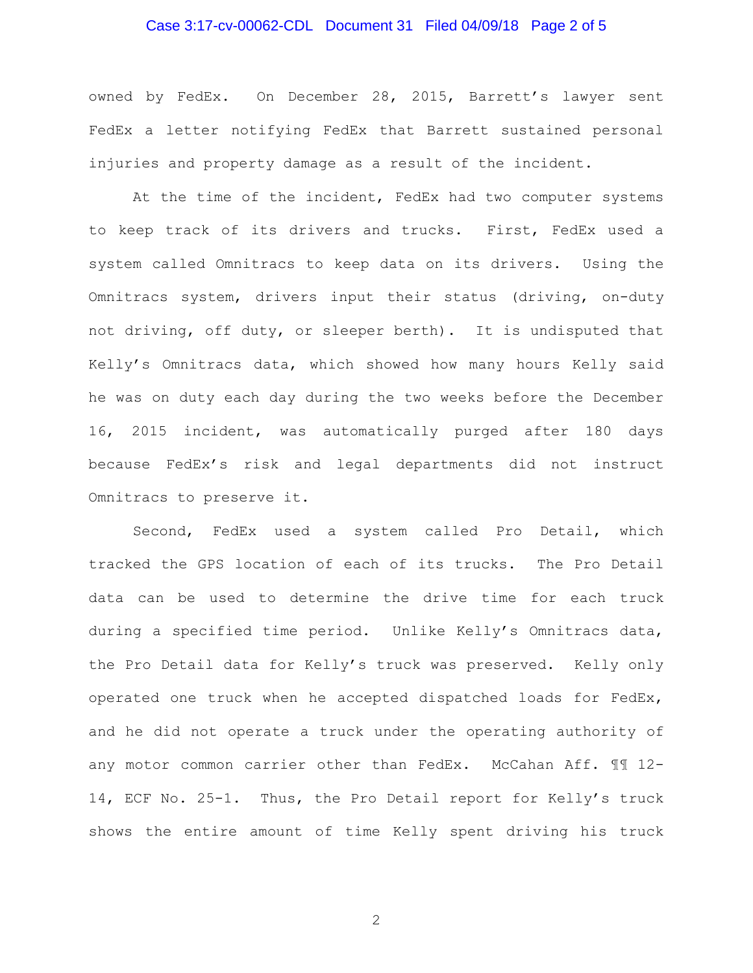# Case 3:17-cv-00062-CDL Document 31 Filed 04/09/18 Page 2 of 5

owned by FedEx. On December 28, 2015, Barrett's lawyer sent FedEx a letter notifying FedEx that Barrett sustained personal injuries and property damage as a result of the incident.

At the time of the incident, FedEx had two computer systems to keep track of its drivers and trucks. First, FedEx used a system called Omnitracs to keep data on its drivers. Using the Omnitracs system, drivers input their status (driving, on-duty not driving, off duty, or sleeper berth). It is undisputed that Kelly's Omnitracs data, which showed how many hours Kelly said he was on duty each day during the two weeks before the December 16, 2015 incident, was automatically purged after 180 days because FedEx's risk and legal departments did not instruct Omnitracs to preserve it.

Second, FedEx used a system called Pro Detail, which tracked the GPS location of each of its trucks. The Pro Detail data can be used to determine the drive time for each truck during a specified time period. Unlike Kelly's Omnitracs data, the Pro Detail data for Kelly's truck was preserved. Kelly only operated one truck when he accepted dispatched loads for FedEx, and he did not operate a truck under the operating authority of any motor common carrier other than FedEx. McCahan Aff. 11 12-14, ECF No. 25-1. Thus, the Pro Detail report for Kelly's truck shows the entire amount of time Kelly spent driving his truck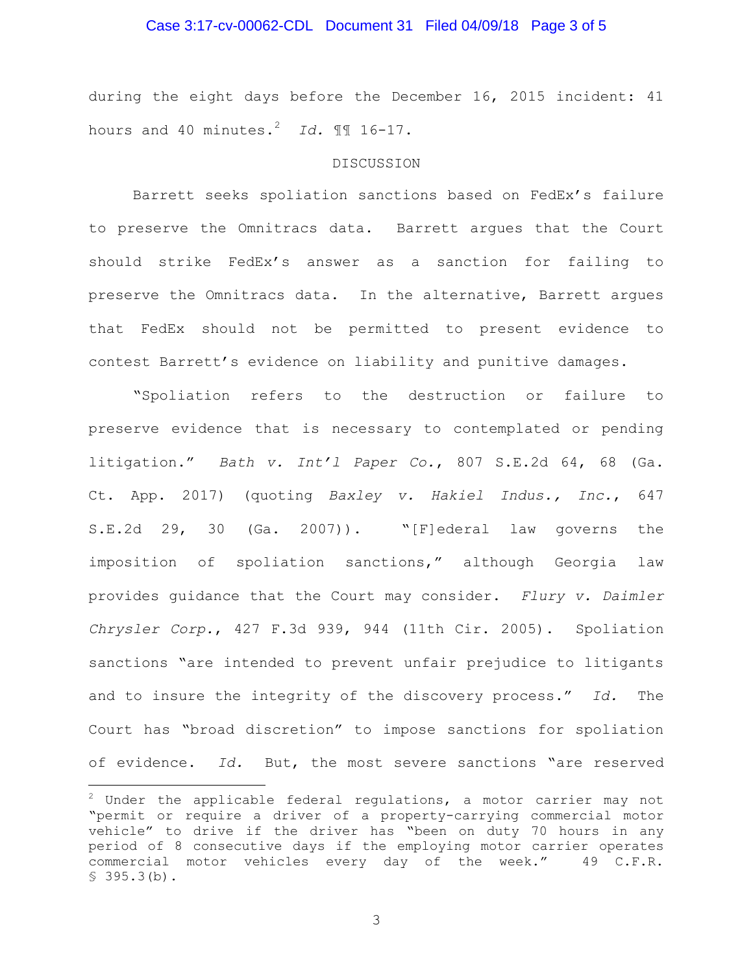### Case 3:17-cv-00062-CDL Document 31 Filed 04/09/18 Page 3 of 5

during the eight days before the December 16, 2015 incident: 41 hours and 40 minutes.<sup>2</sup> *Id.* ¶¶ 16-17.

### **DISCUSSION**

Barrett seeks spoliation sanctions based on FedEx's failure to preserve the Omnitracs data. Barrett argues that the Court should strike FedEx's answer as a sanction for failing to preserve the Omnitracs data. In the alternative, Barrett argues that FedEx should not be permitted to present evidence to contest Barrett's evidence on liability and punitive damages.

"Spoliation refers to the destruction or failure to preserve evidence that is necessary to contemplated or pending litigation." *Bath v. Int'l Paper Co.*, 807 S.E.2d 64, 68 (Ga. Ct. App. 2017) (quoting *Baxley v. Hakiel Indus., Inc.*, 647 S.E.2d 29, 30 (Ga. 2007)). "[F]ederal law governs the imposition of spoliation sanctions," although Georgia law provides guidance that the Court may consider. *Flury v. Daimler Chrysler Corp.*, 427 F.3d 939, 944 (11th Cir. 2005). Spoliation sanctions "are intended to prevent unfair prejudice to litigants and to insure the integrity of the discovery process." *Id.* The Court has "broad discretion" to impose sanctions for spoliation of evidence. *Id.* But, the most severe sanctions "are reserved

a<br>B

 $2$  Under the applicable federal regulations, a motor carrier may not "permit or require a driver of a property-carrying commercial motor vehicle" to drive if the driver has "been on duty 70 hours in any period of 8 consecutive days if the employing motor carrier operates commercial motor vehicles every day of the week." 49 C.F.R.  $$395.3(b).$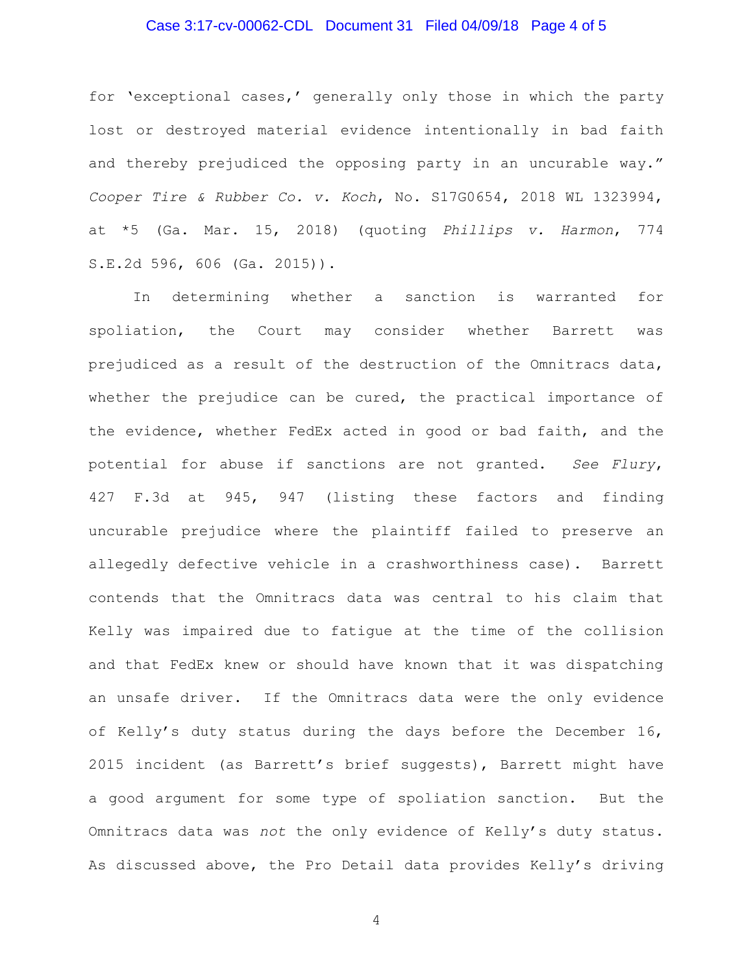## Case 3:17-cv-00062-CDL Document 31 Filed 04/09/18 Page 4 of 5

for 'exceptional cases,' generally only those in which the party lost or destroyed material evidence intentionally in bad faith and thereby prejudiced the opposing party in an uncurable way." *Cooper Tire & Rubber Co. v. Koch*, No. S17G0654, 2018 WL 1323994, at \*5 (Ga. Mar. 15, 2018) (quoting *Phillips v. Harmon*, 774 S.E.2d 596, 606 (Ga. 2015)).

In determining whether a sanction is warranted for spoliation, the Court may consider whether Barrett was prejudiced as a result of the destruction of the Omnitracs data, whether the prejudice can be cured, the practical importance of the evidence, whether FedEx acted in good or bad faith, and the potential for abuse if sanctions are not granted. *See Flury*, 427 F.3d at 945, 947 (listing these factors and finding uncurable prejudice where the plaintiff failed to preserve an allegedly defective vehicle in a crashworthiness case). Barrett contends that the Omnitracs data was central to his claim that Kelly was impaired due to fatigue at the time of the collision and that FedEx knew or should have known that it was dispatching an unsafe driver. If the Omnitracs data were the only evidence of Kelly's duty status during the days before the December 16, 2015 incident (as Barrett's brief suggests), Barrett might have a good argument for some type of spoliation sanction. But the Omnitracs data was *not* the only evidence of Kelly's duty status. As discussed above, the Pro Detail data provides Kelly's driving